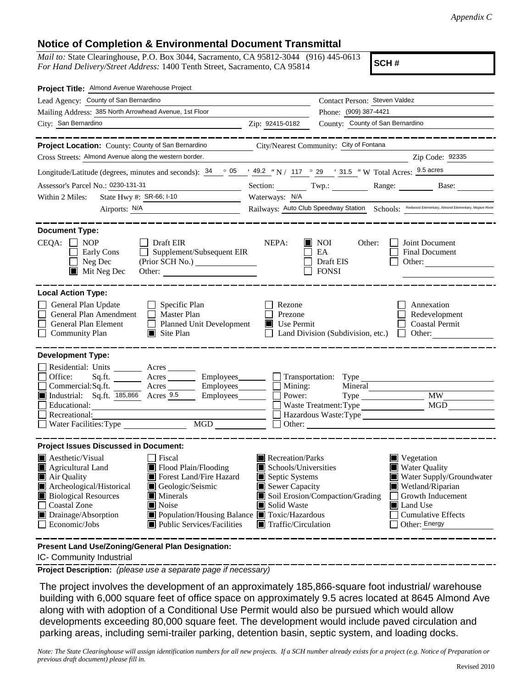## **Notice of Completion & Environmental Document Transmittal**

*Mail to:* State Clearinghouse, P.O. Box 3044, Sacramento, CA 95812-3044 (916) 445-0613 *For Hand Delivery/Street Address:* 1400 Tenth Street, Sacramento, CA 95814

**SCH #**

| Project Title: Almond Avenue Warehouse Project                                                                                                                                                                                                                                                                                                                                                                                                                                                                                               |                                                                                                                                                                                                                                                                                                                                                          |  |  |  |  |  |
|----------------------------------------------------------------------------------------------------------------------------------------------------------------------------------------------------------------------------------------------------------------------------------------------------------------------------------------------------------------------------------------------------------------------------------------------------------------------------------------------------------------------------------------------|----------------------------------------------------------------------------------------------------------------------------------------------------------------------------------------------------------------------------------------------------------------------------------------------------------------------------------------------------------|--|--|--|--|--|
| Lead Agency: County of San Bernardino                                                                                                                                                                                                                                                                                                                                                                                                                                                                                                        | Contact Person: Steven Valdez                                                                                                                                                                                                                                                                                                                            |  |  |  |  |  |
| Mailing Address: 385 North Arrowhead Avenue, 1st Floor                                                                                                                                                                                                                                                                                                                                                                                                                                                                                       | Phone: (909) 387-4421                                                                                                                                                                                                                                                                                                                                    |  |  |  |  |  |
| City: San Bernardino                                                                                                                                                                                                                                                                                                                                                                                                                                                                                                                         | County: County of San Bernardino<br>Zip: 92415-0182                                                                                                                                                                                                                                                                                                      |  |  |  |  |  |
|                                                                                                                                                                                                                                                                                                                                                                                                                                                                                                                                              |                                                                                                                                                                                                                                                                                                                                                          |  |  |  |  |  |
| Project Location: County: County of San Bernardino                                                                                                                                                                                                                                                                                                                                                                                                                                                                                           | City/Nearest Community: City of Fontana                                                                                                                                                                                                                                                                                                                  |  |  |  |  |  |
| Cross Streets: Almond Avenue along the western border.<br>Zip Code: 92335                                                                                                                                                                                                                                                                                                                                                                                                                                                                    |                                                                                                                                                                                                                                                                                                                                                          |  |  |  |  |  |
| Longitude/Latitude (degrees, minutes and seconds): $\frac{34}{96}$ $\frac{05}{149}$ / $\frac{49.2}{149}$ / $\frac{1}{147}$ $\degree$ 29 / 31.5 / W Total Acres: $\frac{9.5 \text{ acres}}{25}$                                                                                                                                                                                                                                                                                                                                               |                                                                                                                                                                                                                                                                                                                                                          |  |  |  |  |  |
| Assessor's Parcel No.: 0230-131-31                                                                                                                                                                                                                                                                                                                                                                                                                                                                                                           | Section: Twp.: Range: Base:                                                                                                                                                                                                                                                                                                                              |  |  |  |  |  |
| State Hwy #: SR-66; I-10<br>Within 2 Miles:                                                                                                                                                                                                                                                                                                                                                                                                                                                                                                  | Waterways: N/A                                                                                                                                                                                                                                                                                                                                           |  |  |  |  |  |
| Airports: N/A                                                                                                                                                                                                                                                                                                                                                                                                                                                                                                                                | Railways: Auto Club Speedway Station Schools: Redwood Elementary, Almond Elementary, Mojave River                                                                                                                                                                                                                                                        |  |  |  |  |  |
|                                                                                                                                                                                                                                                                                                                                                                                                                                                                                                                                              |                                                                                                                                                                                                                                                                                                                                                          |  |  |  |  |  |
| <b>Document Type:</b><br>$\Box$ Draft EIR<br>$CEQA: \Box NOP$<br>$\Box$ Supplement/Subsequent EIR<br>Early Cons<br>Neg Dec<br>(Prior SCH No.) ________________<br>$\blacksquare$ Mit Neg Dec<br>Other:                                                                                                                                                                                                                                                                                                                                       | NEPA:<br>Joint Document<br>$\blacksquare$ NOI<br>Other:<br>$\mathbf{1}$<br>$\Box$<br>EA<br>Final Document<br>$\Box$<br>Draft EIS<br>Other: $\qquad \qquad$<br><b>FONSI</b>                                                                                                                                                                               |  |  |  |  |  |
| <b>Local Action Type:</b>                                                                                                                                                                                                                                                                                                                                                                                                                                                                                                                    |                                                                                                                                                                                                                                                                                                                                                          |  |  |  |  |  |
| General Plan Update<br>$\Box$ Specific Plan<br>Master Plan<br>General Plan Amendment<br>$\Box$<br>General Plan Element<br>$\Box$ Planned Unit Development<br>□<br><b>Community Plan</b><br>$\Box$ Site Plan                                                                                                                                                                                                                                                                                                                                  | Rezone<br>Annexation<br>l 1<br>$\Box$<br>Prezone<br>Redevelopment<br>Use Permit<br><b>Coastal Permit</b><br>Land Division (Subdivision, etc.)<br>$\Box$<br>$\Box$ Other:                                                                                                                                                                                 |  |  |  |  |  |
| <b>Development Type:</b>                                                                                                                                                                                                                                                                                                                                                                                                                                                                                                                     |                                                                                                                                                                                                                                                                                                                                                          |  |  |  |  |  |
| Residential: Units ________ Acres _____<br>$\Box$ Office:<br>Acres<br>Employees________<br>Sq.fit.<br>$\Box$<br>Acres Employees<br>Commercial:Sq.ft.<br>$\Box$ Industrial: Sq.ft. $\overline{185,866}$ Acres 9.5<br>Employees________<br>Educational:<br>$\Box$<br>Recreational:<br>MGD THE METAL STATE OF THE METAL STATE OF THE METAL STATE OF THE METAL STATE OF THE METAL STATE OF THE METAL STATE OF THE METAL STATE OF THE METAL STATE OF THE METAL STATE OF THE METAL STATE OF THE METAL STATE OF THE METAL<br>Water Facilities: Type | Transportation: Type<br>$\Box$ Mining:<br>Mineral<br>$\Box$ Power:<br>■ Waste Treatment: Type<br>■ Hazardous Waste: Type<br>■ Hazardous Waste: Type<br>■ Hazardous Waste: Type<br>■ Hazardous Waste: Type<br>■ Hazardous Waste: Type<br>■ Hazardous Waste: Type<br>■ Hazardous Waste: Type<br>■ Hazardous National<br>$\Box$ Other: $\Box$               |  |  |  |  |  |
| <b>Project Issues Discussed in Document:</b>                                                                                                                                                                                                                                                                                                                                                                                                                                                                                                 |                                                                                                                                                                                                                                                                                                                                                          |  |  |  |  |  |
| Aesthetic/Visual<br>$\Box$ Fiscal<br>Flood Plain/Flooding<br>$\blacksquare$ Agricultural Land<br>Forest Land/Fire Hazard<br>Air Quality<br>Archeological/Historical<br>Geologic/Seismic<br><b>Biological Resources</b><br>$\blacksquare$ Minerals<br>Coastal Zone<br>Noise<br>$\Box$<br>Drainage/Absorption<br>Population/Housing Balance Toxic/Hazardous<br>$\Box$ Economic/Jobs<br>■ Public Services/Facilities                                                                                                                            | Recreation/Parks<br>$\blacksquare$ Vegetation<br>Schools/Universities<br><b>Water Quality</b><br>Septic Systems<br>Water Supply/Groundwater<br>Sewer Capacity<br>Wetland/Riparian<br>Soil Erosion/Compaction/Grading<br>Growth Inducement<br>Solid Waste<br>Land Use<br><b>Cumulative Effects</b><br>$\blacksquare$ Traffic/Circulation<br>Other: Energy |  |  |  |  |  |

**Present Land Use/Zoning/General Plan Designation:**

IC- Community Industrial

**Project Description:** *(please use a separate page if necessary)*

 The project involves the development of an approximately 185,866-square foot industrial/ warehouse building with 6,000 square feet of office space on approximately 9.5 acres located at 8645 Almond Ave along with with adoption of a Conditional Use Permit would also be pursued which would allow developments exceeding 80,000 square feet. The development would include paved circulation and parking areas, including semi-trailer parking, detention basin, septic system, and loading docks.

*Note: The State Clearinghouse will assign identification numbers for all new projects. If a SCH number already exists for a project (e.g. Notice of Preparation or previous draft document) please fill in.*